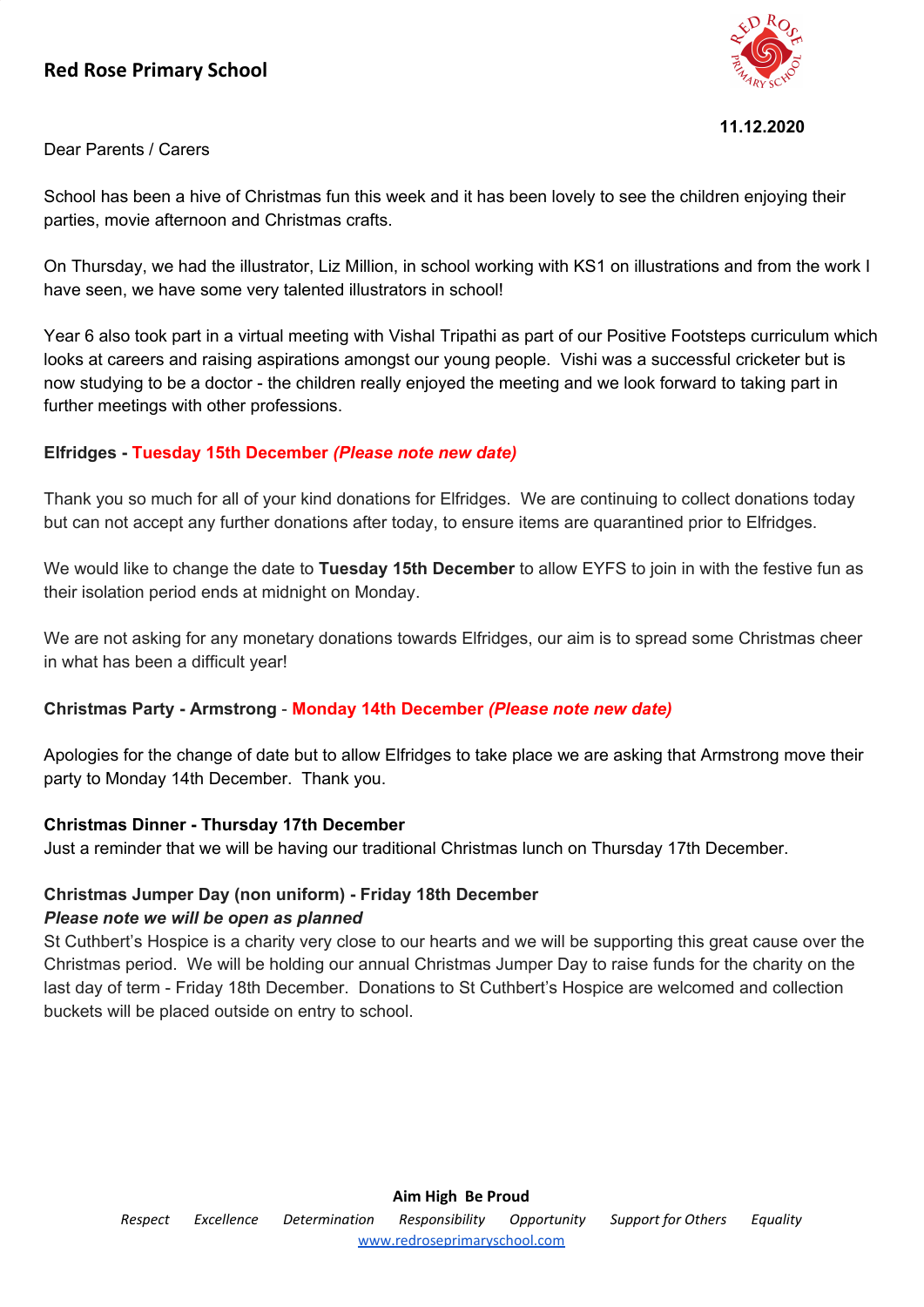# **Red Rose Primary School**



Dear Parents / Carers

School has been a hive of Christmas fun this week and it has been lovely to see the children enjoying their parties, movie afternoon and Christmas crafts.

On Thursday, we had the illustrator, Liz Million, in school working with KS1 on illustrations and from the work I have seen, we have some very talented illustrators in school!

Year 6 also took part in a virtual meeting with Vishal Tripathi as part of our Positive Footsteps curriculum which looks at careers and raising aspirations amongst our young people. Vishi was a successful cricketer but is now studying to be a doctor - the children really enjoyed the meeting and we look forward to taking part in further meetings with other professions.

### **Elfridges - Tuesday 15th December** *(Please note new date)*

Thank you so much for all of your kind donations for Elfridges. We are continuing to collect donations today but can not accept any further donations after today, to ensure items are quarantined prior to Elfridges.

We would like to change the date to **Tuesday 15th December** to allow EYFS to join in with the festive fun as their isolation period ends at midnight on Monday.

We are not asking for any monetary donations towards Elfridges, our aim is to spread some Christmas cheer in what has been a difficult year!

### **Christmas Party - Armstrong** - **Monday 14th December** *(Please note new date)*

Apologies for the change of date but to allow Elfridges to take place we are asking that Armstrong move their party to Monday 14th December. Thank you.

### **Christmas Dinner - Thursday 17th December**

Just a reminder that we will be having our traditional Christmas lunch on Thursday 17th December.

### **Christmas Jumper Day (non uniform) - Friday 18th December**

#### *Please note we will be open as planned*

St Cuthbert's Hospice is a charity very close to our hearts and we will be supporting this great cause over the Christmas period. We will be holding our annual Christmas Jumper Day to raise funds for the charity on the last day of term - Friday 18th December. Donations to St Cuthbert's Hospice are welcomed and collection buckets will be placed outside on entry to school.